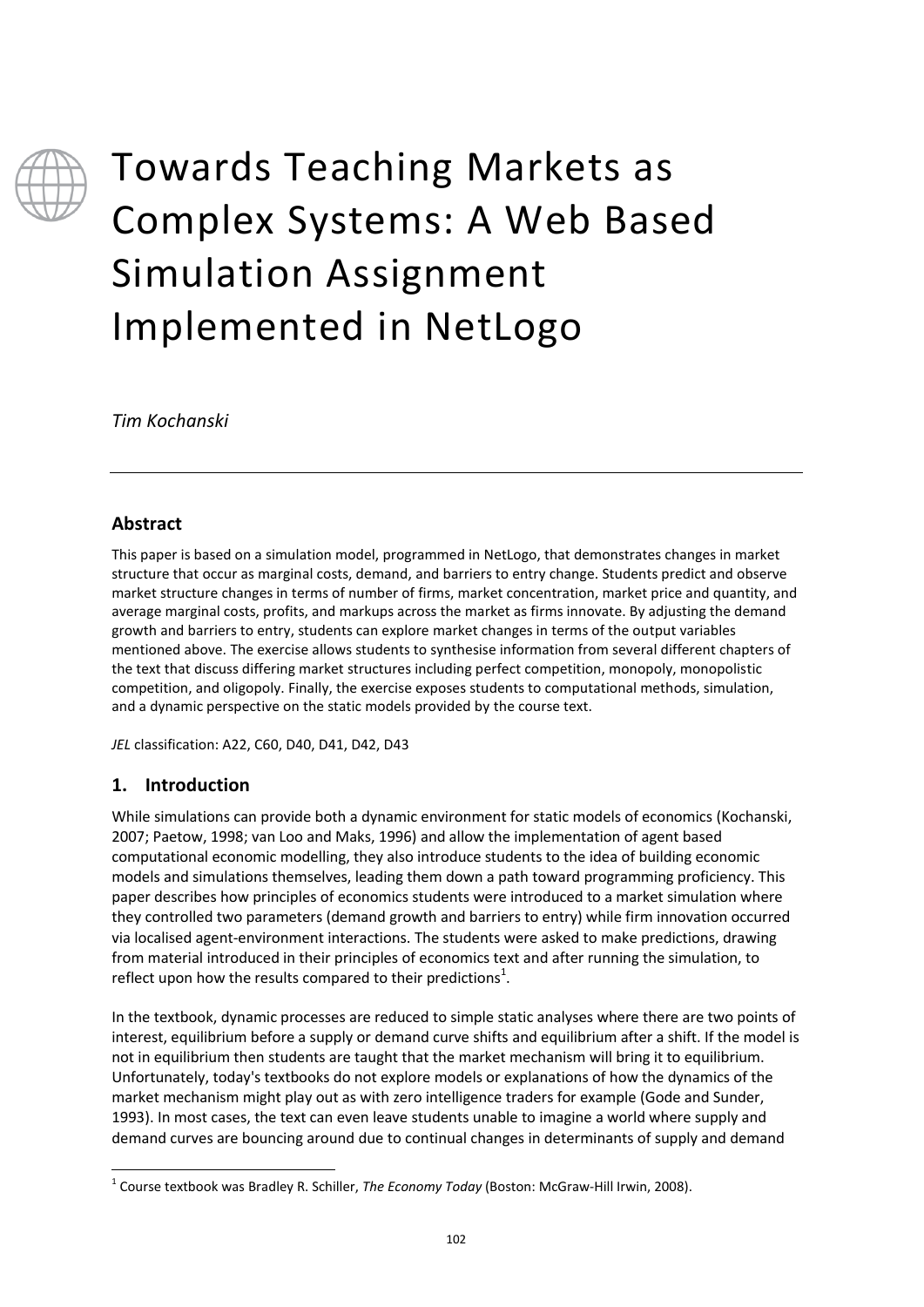

# Towards Teaching Markets as Complex Systems: A Web Based Simulation Assignment Implemented in NetLogo

*Tim Kochanski*

## **Abstract**

This paper is based on a simulation model, programmed in NetLogo, that demonstrates changes in market structure that occur as marginal costs, demand, and barriers to entry change. Students predict and observe market structure changes in terms of number of firms, market concentration, market price and quantity, and average marginal costs, profits, and markups across the market as firms innovate. By adjusting the demand growth and barriers to entry, students can explore market changes in terms of the output variables mentioned above. The exercise allows students to synthesise information from several different chapters of the text that discuss differing market structures including perfect competition, monopoly, monopolistic competition, and oligopoly. Finally, the exercise exposes students to computational methods, simulation, and a dynamic perspective on the static models provided by the course text.

*JEL* classification: A22, C60, D40, D41, D42, D43

### **1. Introduction**

-

While simulations can provide both a dynamic environment for static models of economics (Kochanski, 2007; Paetow, 1998; van Loo and Maks, 1996) and allow the implementation of agent based computational economic modelling, they also introduce students to the idea of building economic models and simulations themselves, leading them down a path toward programming proficiency. This paper describes how principles of economics students were introduced to a market simulation where they controlled two parameters (demand growth and barriers to entry) while firm innovation occurred via localised agent-environment interactions. The students were asked to make predictions, drawing from material introduced in their principles of economics text and after running the simulation, to reflect upon how the results compared to their predictions<sup>1</sup>.

In the textbook, dynamic processes are reduced to simple static analyses where there are two points of interest, equilibrium before a supply or demand curve shifts and equilibrium after a shift. If the model is not in equilibrium then students are taught that the market mechanism will bring it to equilibrium. Unfortunately, today's textbooks do not explore models or explanations of how the dynamics of the market mechanism might play out as with zero intelligence traders for example (Gode and Sunder, 1993). In most cases, the text can even leave students unable to imagine a world where supply and demand curves are bouncing around due to continual changes in determinants of supply and demand

<sup>1</sup> Course textbook was Bradley R. Schiller, *The Economy Today* (Boston: McGraw-Hill Irwin, 2008).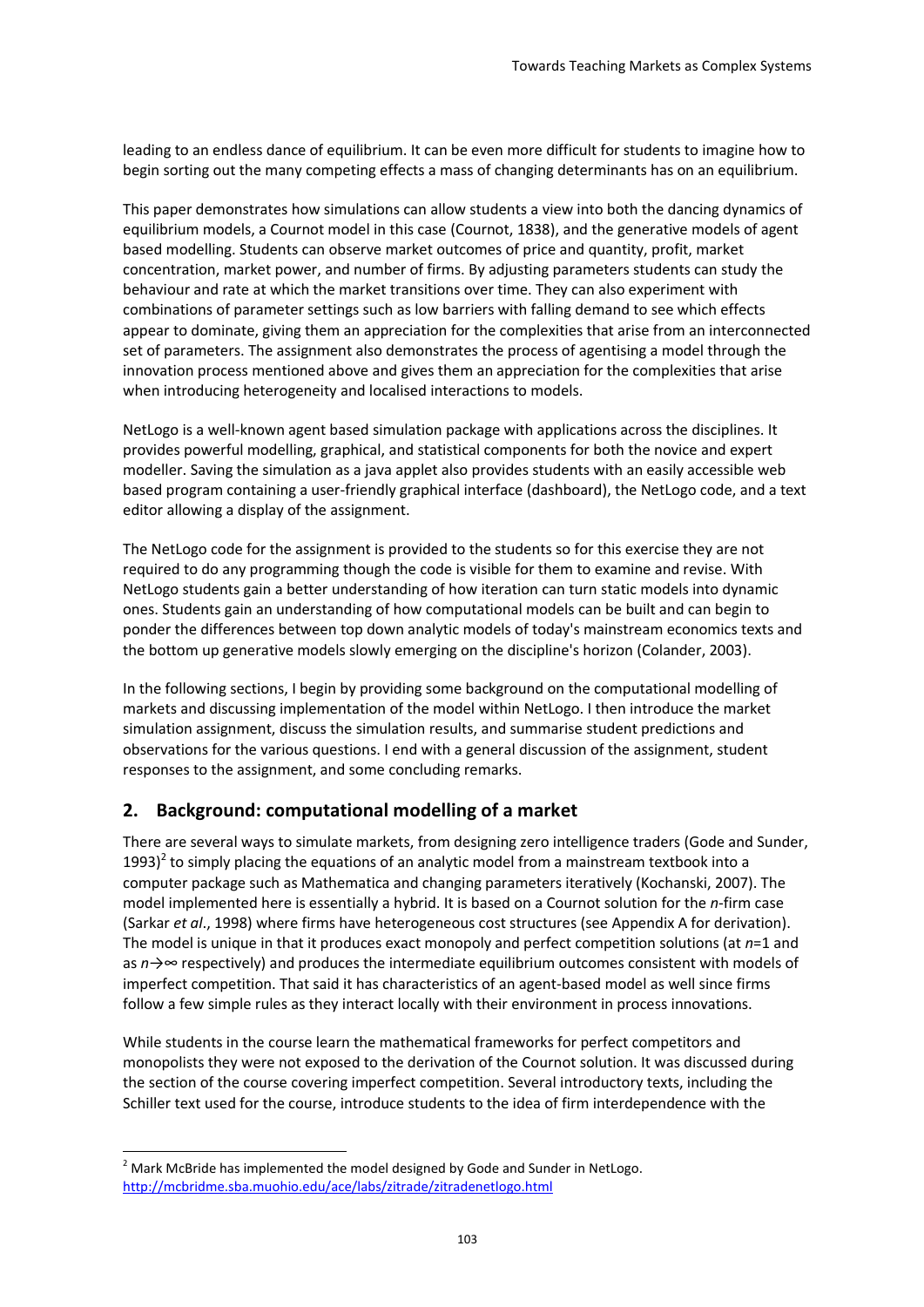leading to an endless dance of equilibrium. It can be even more difficult for students to imagine how to begin sorting out the many competing effects a mass of changing determinants has on an equilibrium.

This paper demonstrates how simulations can allow students a view into both the dancing dynamics of equilibrium models, a Cournot model in this case (Cournot, 1838), and the generative models of agent based modelling. Students can observe market outcomes of price and quantity, profit, market concentration, market power, and number of firms. By adjusting parameters students can study the behaviour and rate at which the market transitions over time. They can also experiment with combinations of parameter settings such as low barriers with falling demand to see which effects appear to dominate, giving them an appreciation for the complexities that arise from an interconnected set of parameters. The assignment also demonstrates the process of agentising a model through the innovation process mentioned above and gives them an appreciation for the complexities that arise when introducing heterogeneity and localised interactions to models.

NetLogo is a well-known agent based simulation package with applications across the disciplines. It provides powerful modelling, graphical, and statistical components for both the novice and expert modeller. Saving the simulation as a java applet also provides students with an easily accessible web based program containing a user-friendly graphical interface (dashboard), the NetLogo code, and a text editor allowing a display of the assignment.

The NetLogo code for the assignment is provided to the students so for this exercise they are not required to do any programming though the code is visible for them to examine and revise. With NetLogo students gain a better understanding of how iteration can turn static models into dynamic ones. Students gain an understanding of how computational models can be built and can begin to ponder the differences between top down analytic models of today's mainstream economics texts and the bottom up generative models slowly emerging on the discipline's horizon (Colander, 2003).

In the following sections, I begin by providing some background on the computational modelling of markets and discussing implementation of the model within NetLogo. I then introduce the market simulation assignment, discuss the simulation results, and summarise student predictions and observations for the various questions. I end with a general discussion of the assignment, student responses to the assignment, and some concluding remarks.

## **2. Background: computational modelling of a market**

There are several ways to simulate markets, from designing zero intelligence traders (Gode and Sunder, 1993)<sup>2</sup> to simply placing the equations of an analytic model from a mainstream textbook into a computer package such as Mathematica and changing parameters iteratively (Kochanski, 2007). The model implemented here is essentially a hybrid. It is based on a Cournot solution for the *n*-firm case (Sarkar *et al*., 1998) where firms have heterogeneous cost structures (see Appendix A for derivation). The model is unique in that it produces exact monopoly and perfect competition solutions (at *n*=1 and as *n*→∞ respectively) and produces the intermediate equilibrium outcomes consistent with models of imperfect competition. That said it has characteristics of an agent-based model as well since firms follow a few simple rules as they interact locally with their environment in process innovations.

While students in the course learn the mathematical frameworks for perfect competitors and monopolists they were not exposed to the derivation of the Cournot solution. It was discussed during the section of the course covering imperfect competition. Several introductory texts, including the Schiller text used for the course, introduce students to the idea of firm interdependence with the

 $\overline{a}$ 

 $2$  Mark McBride has implemented the model designed by Gode and Sunder in NetLogo. <http://mcbridme.sba.muohio.edu/ace/labs/zitrade/zitradenetlogo.html>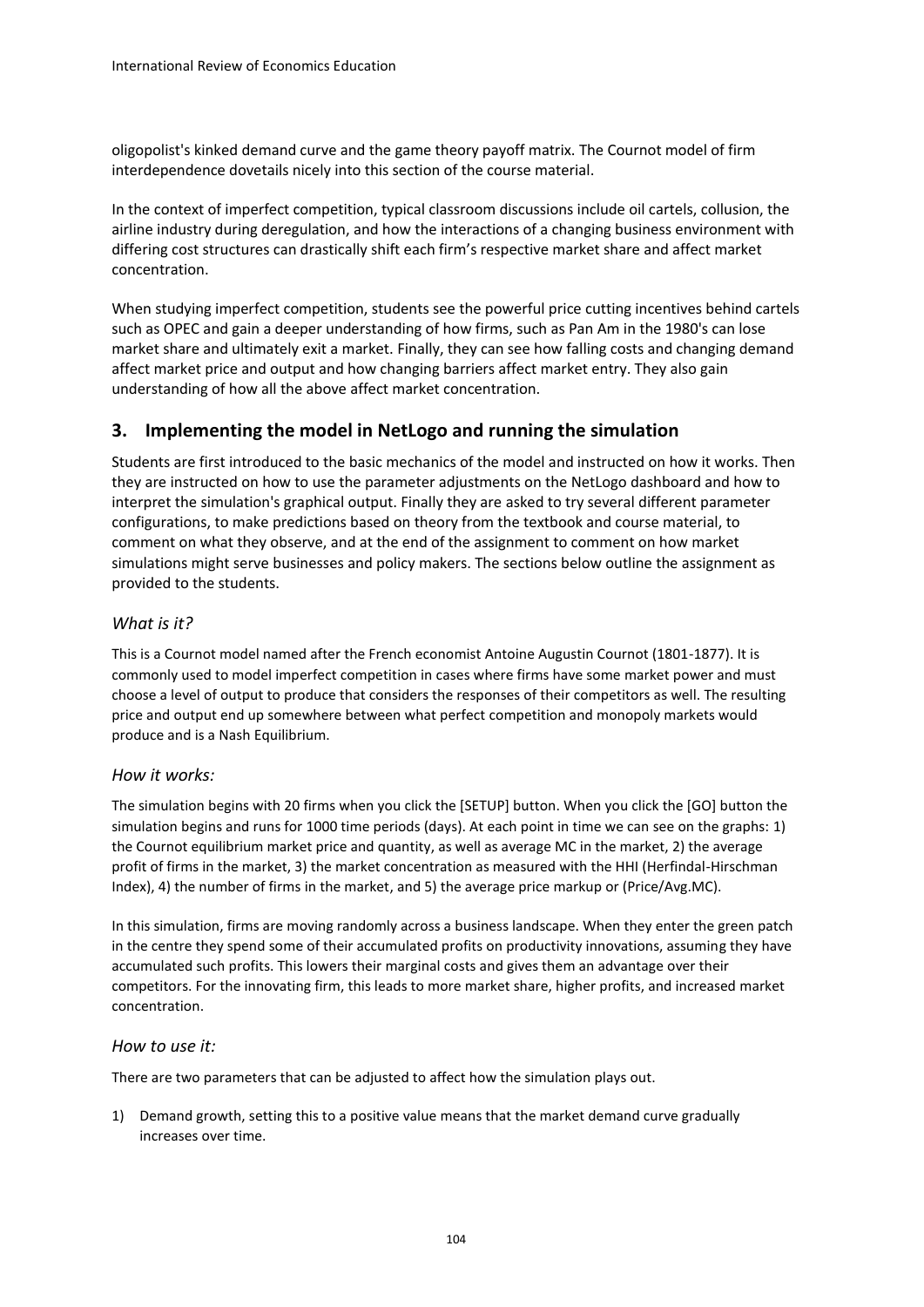oligopolist's kinked demand curve and the game theory payoff matrix. The Cournot model of firm interdependence dovetails nicely into this section of the course material.

In the context of imperfect competition, typical classroom discussions include oil cartels, collusion, the airline industry during deregulation, and how the interactions of a changing business environment with differing cost structures can drastically shift each firm's respective market share and affect market concentration.

When studying imperfect competition, students see the powerful price cutting incentives behind cartels such as OPEC and gain a deeper understanding of how firms, such as Pan Am in the 1980's can lose market share and ultimately exit a market. Finally, they can see how falling costs and changing demand affect market price and output and how changing barriers affect market entry. They also gain understanding of how all the above affect market concentration.

## **3. Implementing the model in NetLogo and running the simulation**

Students are first introduced to the basic mechanics of the model and instructed on how it works. Then they are instructed on how to use the parameter adjustments on the NetLogo dashboard and how to interpret the simulation's graphical output. Finally they are asked to try several different parameter configurations, to make predictions based on theory from the textbook and course material, to comment on what they observe, and at the end of the assignment to comment on how market simulations might serve businesses and policy makers. The sections below outline the assignment as provided to the students.

#### *What is it?*

This is a Cournot model named after the French economist Antoine Augustin Cournot (1801-1877). It is commonly used to model imperfect competition in cases where firms have some market power and must choose a level of output to produce that considers the responses of their competitors as well. The resulting price and output end up somewhere between what perfect competition and monopoly markets would produce and is a Nash Equilibrium.

#### *How it works:*

The simulation begins with 20 firms when you click the [SETUP] button. When you click the [GO] button the simulation begins and runs for 1000 time periods (days). At each point in time we can see on the graphs: 1) the Cournot equilibrium market price and quantity, as well as average MC in the market, 2) the average profit of firms in the market, 3) the market concentration as measured with the HHI (Herfindal-Hirschman Index), 4) the number of firms in the market, and 5) the average price markup or (Price/Avg.MC).

In this simulation, firms are moving randomly across a business landscape. When they enter the green patch in the centre they spend some of their accumulated profits on productivity innovations, assuming they have accumulated such profits. This lowers their marginal costs and gives them an advantage over their competitors. For the innovating firm, this leads to more market share, higher profits, and increased market concentration.

#### *How to use it:*

There are two parameters that can be adjusted to affect how the simulation plays out.

1) Demand growth, setting this to a positive value means that the market demand curve gradually increases over time.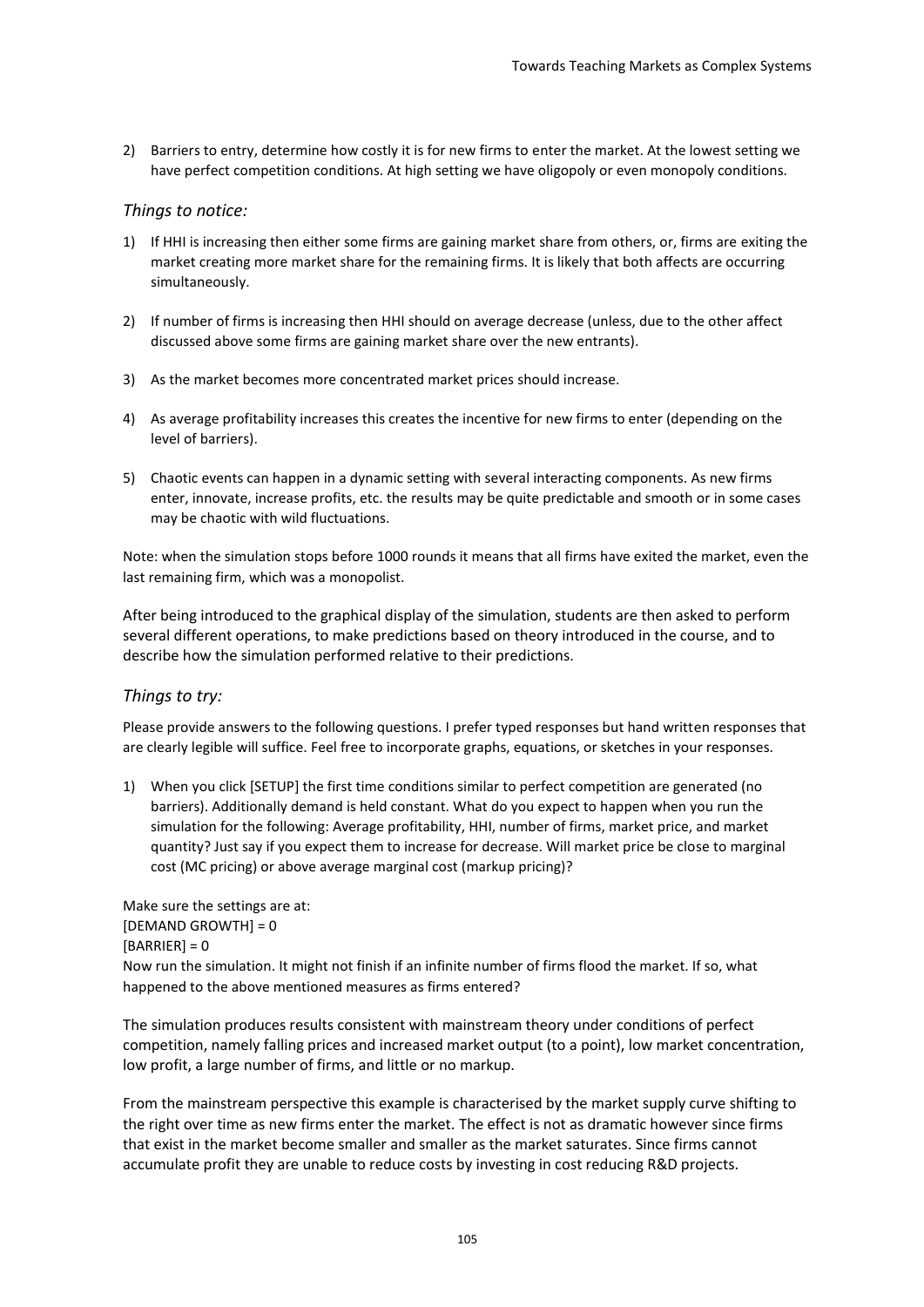2) Barriers to entry, determine how costly it is for new firms to enter the market. At the lowest setting we have perfect competition conditions. At high setting we have oligopoly or even monopoly conditions.

#### *Things to notice:*

- 1) If HHI is increasing then either some firms are gaining market share from others, or, firms are exiting the market creating more market share for the remaining firms. It is likely that both affects are occurring simultaneously.
- 2) If number of firms is increasing then HHI should on average decrease (unless, due to the other affect discussed above some firms are gaining market share over the new entrants).
- 3) As the market becomes more concentrated market prices should increase.
- 4) As average profitability increases this creates the incentive for new firms to enter (depending on the level of barriers).
- 5) Chaotic events can happen in a dynamic setting with several interacting components. As new firms enter, innovate, increase profits, etc. the results may be quite predictable and smooth or in some cases may be chaotic with wild fluctuations.

Note: when the simulation stops before 1000 rounds it means that all firms have exited the market, even the last remaining firm, which was a monopolist.

After being introduced to the graphical display of the simulation, students are then asked to perform several different operations, to make predictions based on theory introduced in the course, and to describe how the simulation performed relative to their predictions.

### *Things to try:*

Please provide answers to the following questions. I prefer typed responses but hand written responses that are clearly legible will suffice. Feel free to incorporate graphs, equations, or sketches in your responses.

1) When you click [SETUP] the first time conditions similar to perfect competition are generated (no barriers). Additionally demand is held constant. What do you expect to happen when you run the simulation for the following: Average profitability, HHI, number of firms, market price, and market quantity? Just say if you expect them to increase for decrease. Will market price be close to marginal cost (MC pricing) or above average marginal cost (markup pricing)?

Make sure the settings are at: [DEMAND GROWTH] = 0  $[BARRIER] = 0$ Now run the simulation. It might not finish if an infinite number of firms flood the market. If so, what happened to the above mentioned measures as firms entered?

The simulation produces results consistent with mainstream theory under conditions of perfect competition, namely falling prices and increased market output (to a point), low market concentration, low profit, a large number of firms, and little or no markup.

From the mainstream perspective this example is characterised by the market supply curve shifting to the right over time as new firms enter the market. The effect is not as dramatic however since firms that exist in the market become smaller and smaller as the market saturates. Since firms cannot accumulate profit they are unable to reduce costs by investing in cost reducing R&D projects.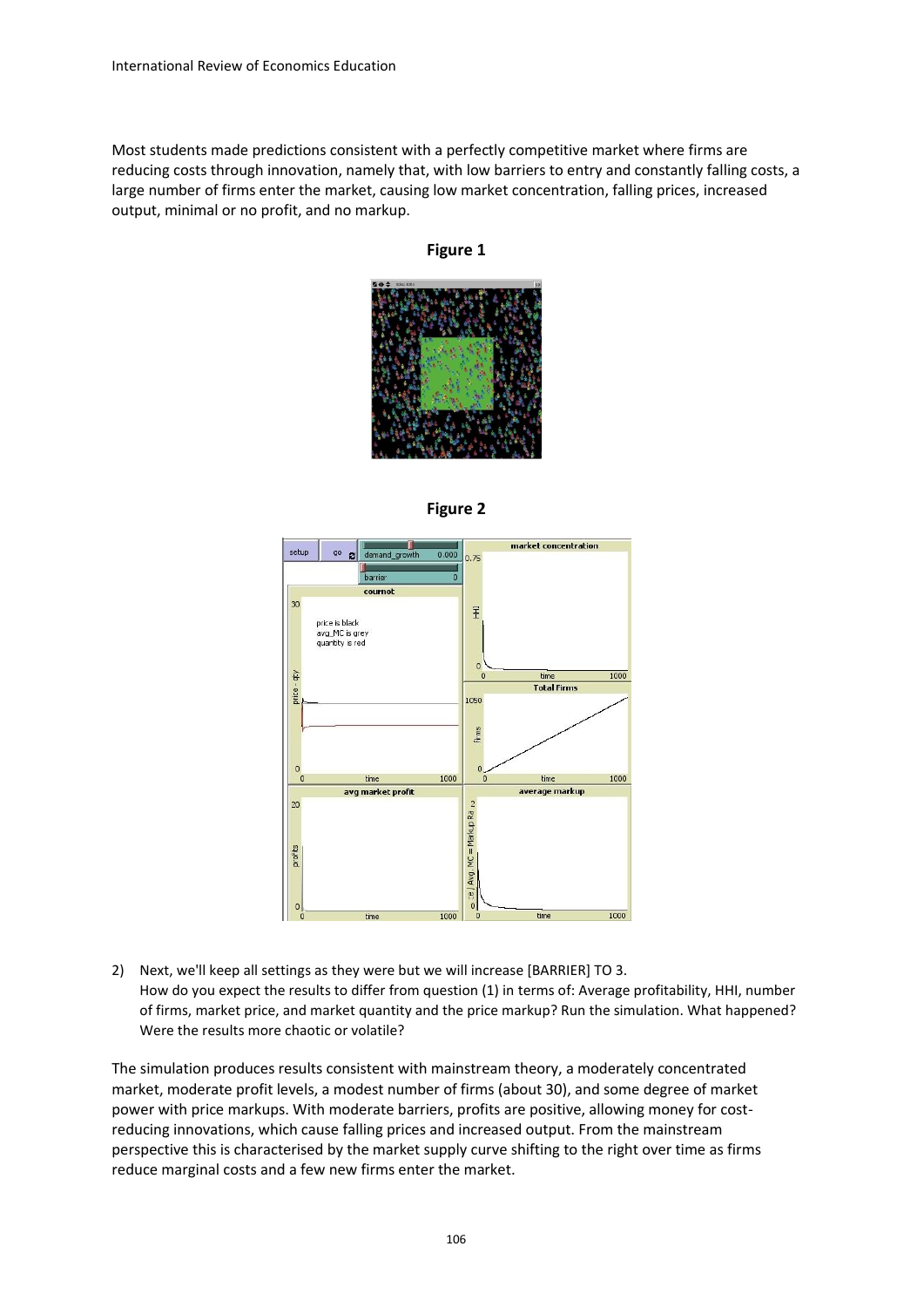Most students made predictions consistent with a perfectly competitive market where firms are reducing costs through innovation, namely that, with low barriers to entry and constantly falling costs, a large number of firms enter the market, causing low market concentration, falling prices, increased output, minimal or no profit, and no markup.









2) Next, we'll keep all settings as they were but we will increase [BARRIER] TO 3. How do you expect the results to differ from question (1) in terms of: Average profitability, HHI, number of firms, market price, and market quantity and the price markup? Run the simulation. What happened? Were the results more chaotic or volatile?

The simulation produces results consistent with mainstream theory, a moderately concentrated market, moderate profit levels, a modest number of firms (about 30), and some degree of market power with price markups. With moderate barriers, profits are positive, allowing money for costreducing innovations, which cause falling prices and increased output. From the mainstream perspective this is characterised by the market supply curve shifting to the right over time as firms reduce marginal costs and a few new firms enter the market.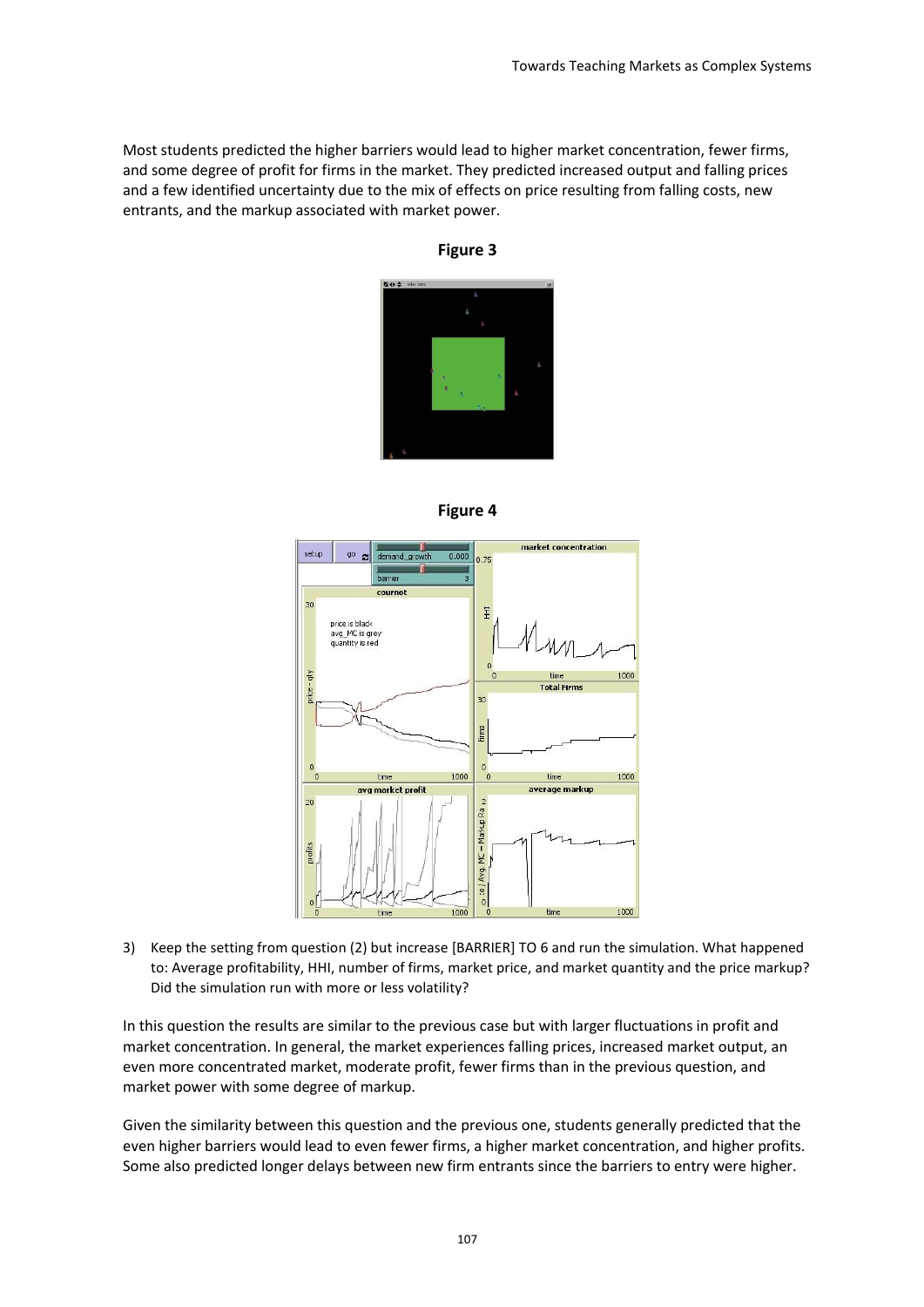Most students predicted the higher barriers would lead to higher market concentration, fewer firms, and some degree of profit for firms in the market. They predicted increased output and falling prices and a few identified uncertainty due to the mix of effects on price resulting from falling costs, new entrants, and the markup associated with market power.









3) Keep the setting from question (2) but increase [BARRIER] TO 6 and run the simulation. What happened to: Average profitability, HHI, number of firms, market price, and market quantity and the price markup? Did the simulation run with more or less volatility?

In this question the results are similar to the previous case but with larger fluctuations in profit and market concentration. In general, the market experiences falling prices, increased market output, an even more concentrated market, moderate profit, fewer firms than in the previous question, and market power with some degree of markup.

Given the similarity between this question and the previous one, students generally predicted that the even higher barriers would lead to even fewer firms, a higher market concentration, and higher profits. Some also predicted longer delays between new firm entrants since the barriers to entry were higher.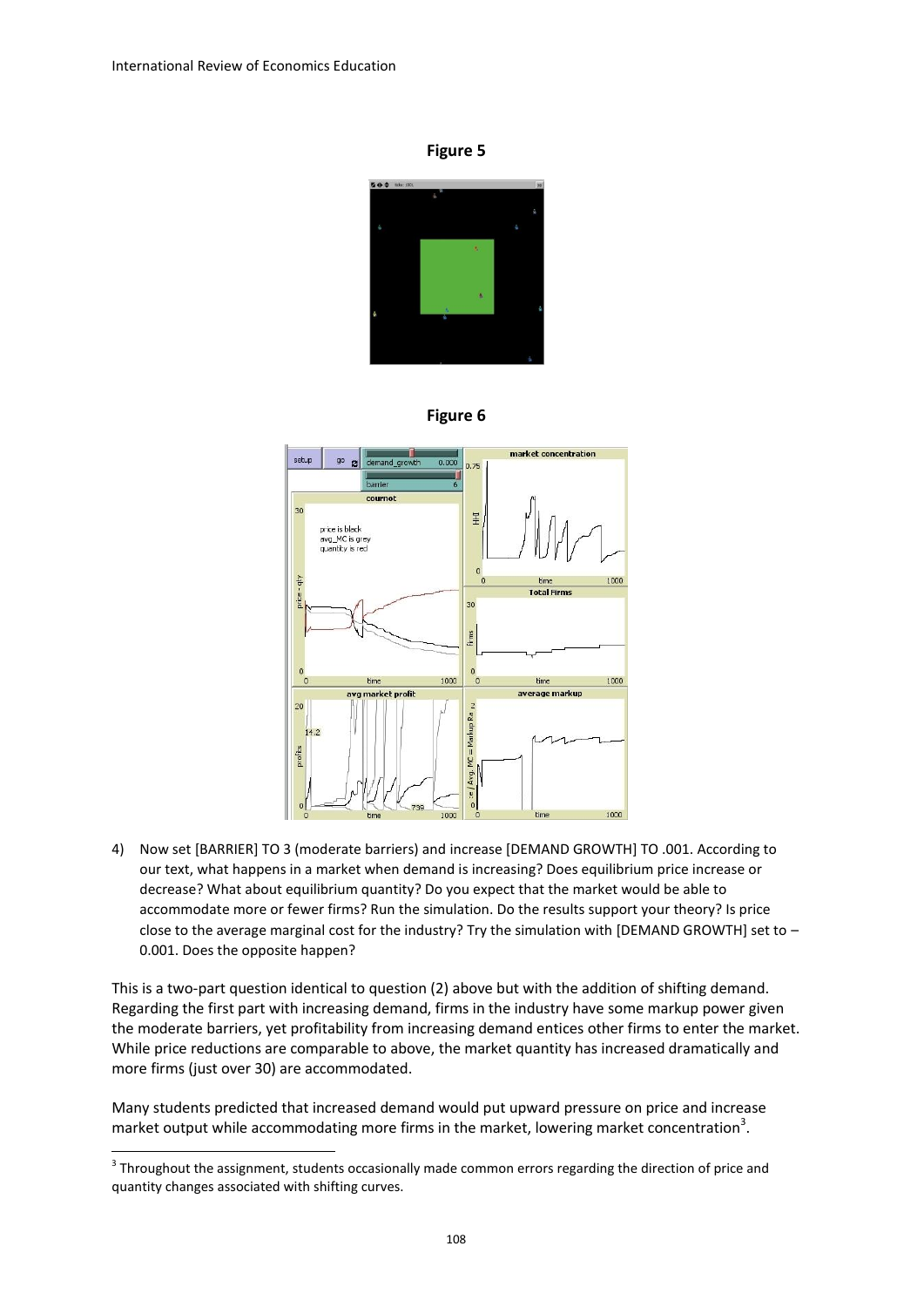







4) Now set [BARRIER] TO 3 (moderate barriers) and increase [DEMAND GROWTH] TO .001. According to our text, what happens in a market when demand is increasing? Does equilibrium price increase or decrease? What about equilibrium quantity? Do you expect that the market would be able to accommodate more or fewer firms? Run the simulation. Do the results support your theory? Is price close to the average marginal cost for the industry? Try the simulation with [DEMAND GROWTH] set to -0.001. Does the opposite happen?

This is a two-part question identical to question (2) above but with the addition of shifting demand. Regarding the first part with increasing demand, firms in the industry have some markup power given the moderate barriers, yet profitability from increasing demand entices other firms to enter the market. While price reductions are comparable to above, the market quantity has increased dramatically and more firms (just over 30) are accommodated.

Many students predicted that increased demand would put upward pressure on price and increase market output while accommodating more firms in the market, lowering market concentration<sup>3</sup>.

 3 Throughout the assignment, students occasionally made common errors regarding the direction of price and quantity changes associated with shifting curves.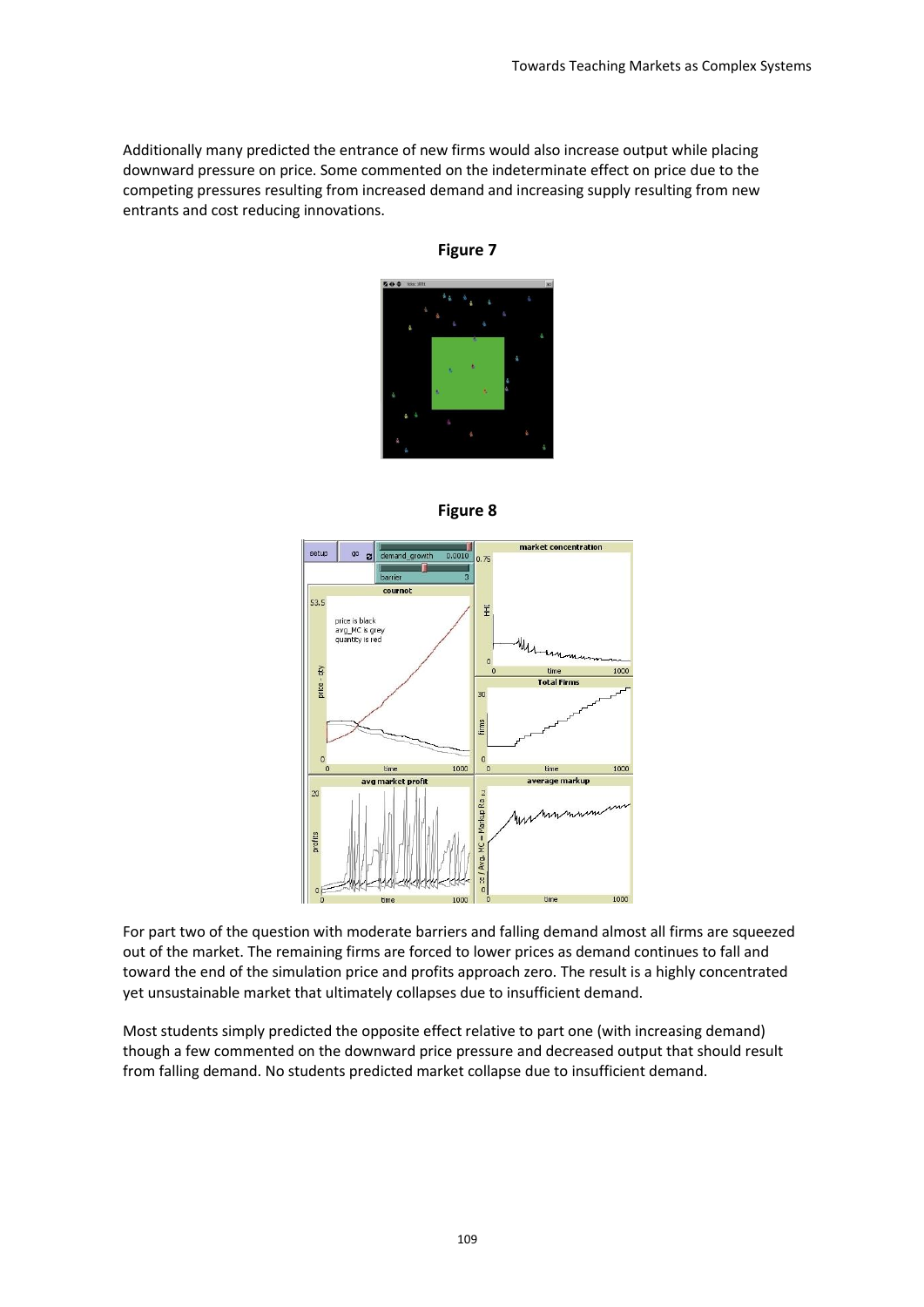Additionally many predicted the entrance of new firms would also increase output while placing downward pressure on price. Some commented on the indeterminate effect on price due to the competing pressures resulting from increased demand and increasing supply resulting from new entrants and cost reducing innovations.









For part two of the question with moderate barriers and falling demand almost all firms are squeezed out of the market. The remaining firms are forced to lower prices as demand continues to fall and toward the end of the simulation price and profits approach zero. The result is a highly concentrated yet unsustainable market that ultimately collapses due to insufficient demand.

Most students simply predicted the opposite effect relative to part one (with increasing demand) though a few commented on the downward price pressure and decreased output that should result from falling demand. No students predicted market collapse due to insufficient demand.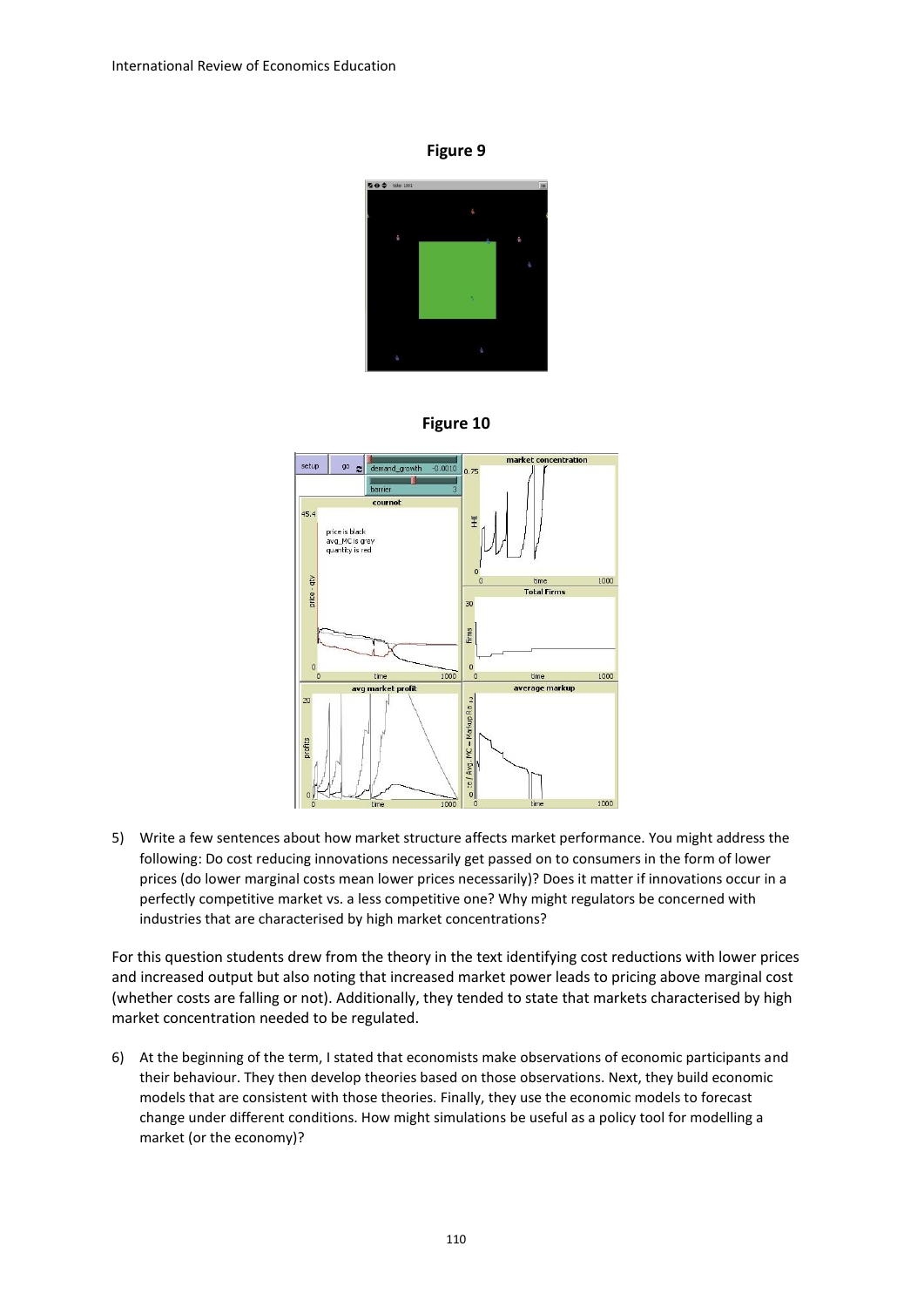







5) Write a few sentences about how market structure affects market performance. You might address the following: Do cost reducing innovations necessarily get passed on to consumers in the form of lower prices (do lower marginal costs mean lower prices necessarily)? Does it matter if innovations occur in a perfectly competitive market vs. a less competitive one? Why might regulators be concerned with industries that are characterised by high market concentrations?

For this question students drew from the theory in the text identifying cost reductions with lower prices and increased output but also noting that increased market power leads to pricing above marginal cost (whether costs are falling or not). Additionally, they tended to state that markets characterised by high market concentration needed to be regulated.

6) At the beginning of the term, I stated that economists make observations of economic participants and their behaviour. They then develop theories based on those observations. Next, they build economic models that are consistent with those theories. Finally, they use the economic models to forecast change under different conditions. How might simulations be useful as a policy tool for modelling a market (or the economy)?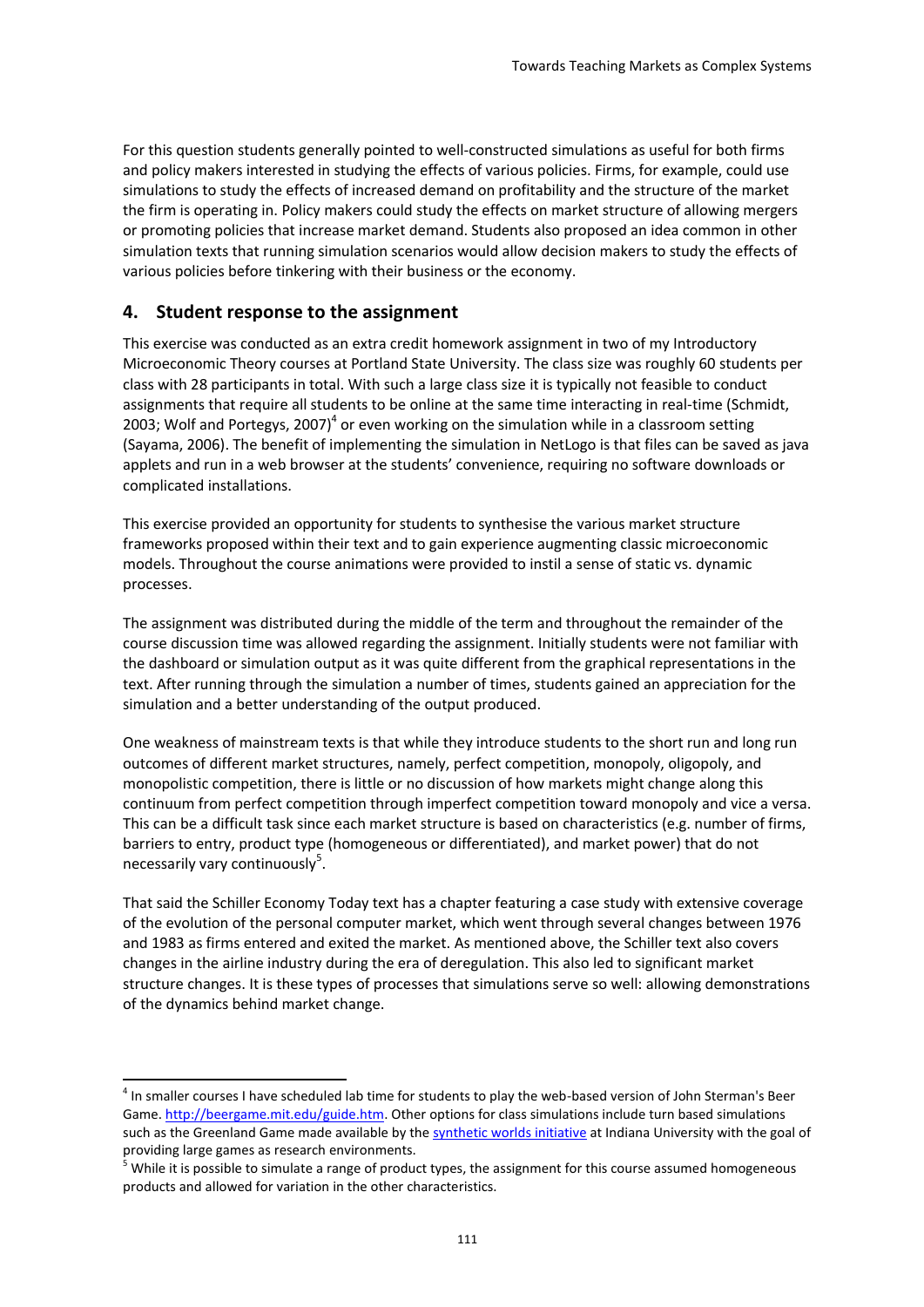For this question students generally pointed to well-constructed simulations as useful for both firms and policy makers interested in studying the effects of various policies. Firms, for example, could use simulations to study the effects of increased demand on profitability and the structure of the market the firm is operating in. Policy makers could study the effects on market structure of allowing mergers or promoting policies that increase market demand. Students also proposed an idea common in other simulation texts that running simulation scenarios would allow decision makers to study the effects of various policies before tinkering with their business or the economy.

### **4. Student response to the assignment**

This exercise was conducted as an extra credit homework assignment in two of my Introductory Microeconomic Theory courses at Portland State University. The class size was roughly 60 students per class with 28 participants in total. With such a large class size it is typically not feasible to conduct assignments that require all students to be online at the same time interacting in real-time (Schmidt, 2003; Wolf and Portegys, 2007)<sup>4</sup> or even working on the simulation while in a classroom setting (Sayama, 2006). The benefit of implementing the simulation in NetLogo is that files can be saved as java applets and run in a web browser at the students' convenience, requiring no software downloads or complicated installations.

This exercise provided an opportunity for students to synthesise the various market structure frameworks proposed within their text and to gain experience augmenting classic microeconomic models. Throughout the course animations were provided to instil a sense of static vs. dynamic processes.

The assignment was distributed during the middle of the term and throughout the remainder of the course discussion time was allowed regarding the assignment. Initially students were not familiar with the dashboard or simulation output as it was quite different from the graphical representations in the text. After running through the simulation a number of times, students gained an appreciation for the simulation and a better understanding of the output produced.

One weakness of mainstream texts is that while they introduce students to the short run and long run outcomes of different market structures, namely, perfect competition, monopoly, oligopoly, and monopolistic competition, there is little or no discussion of how markets might change along this continuum from perfect competition through imperfect competition toward monopoly and vice a versa. This can be a difficult task since each market structure is based on characteristics (e.g. number of firms, barriers to entry, product type (homogeneous or differentiated), and market power) that do not necessarily vary continuously<sup>5</sup>.

That said the Schiller Economy Today text has a chapter featuring a case study with extensive coverage of the evolution of the personal computer market, which went through several changes between 1976 and 1983 as firms entered and exited the market. As mentioned above, the Schiller text also covers changes in the airline industry during the era of deregulation. This also led to significant market structure changes. It is these types of processes that simulations serve so well: allowing demonstrations of the dynamics behind market change.

<sup>&</sup>lt;sup>4</sup> In smaller courses I have scheduled lab time for students to play the web-based version of John Sterman's Beer Game. [http://beergame.mit.edu/guide.htm.](http://beergame.mit.edu/guide.htm) Other options for class simulations include turn based simulations such as the Greenland Game made available by the [synthetic worlds initiative](http://swi.indiana.edu/) at Indiana University with the goal of providing large games as research environments.

While it is possible to simulate a range of product types, the assignment for this course assumed homogeneous products and allowed for variation in the other characteristics.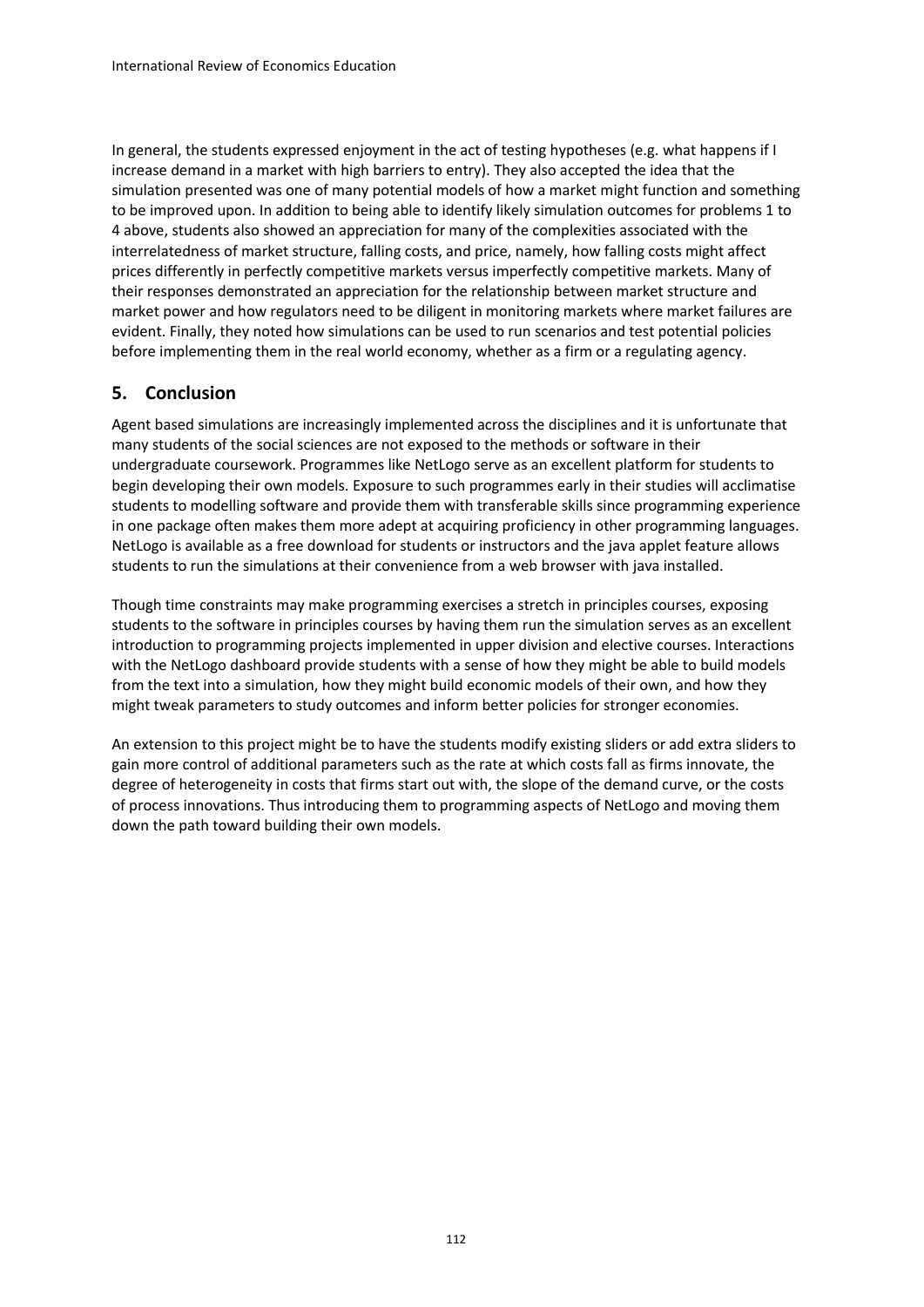In general, the students expressed enjoyment in the act of testing hypotheses (e.g. what happens if I increase demand in a market with high barriers to entry). They also accepted the idea that the simulation presented was one of many potential models of how a market might function and something to be improved upon. In addition to being able to identify likely simulation outcomes for problems 1 to 4 above, students also showed an appreciation for many of the complexities associated with the interrelatedness of market structure, falling costs, and price, namely, how falling costs might affect prices differently in perfectly competitive markets versus imperfectly competitive markets. Many of their responses demonstrated an appreciation for the relationship between market structure and market power and how regulators need to be diligent in monitoring markets where market failures are evident. Finally, they noted how simulations can be used to run scenarios and test potential policies before implementing them in the real world economy, whether as a firm or a regulating agency.

## **5. Conclusion**

Agent based simulations are increasingly implemented across the disciplines and it is unfortunate that many students of the social sciences are not exposed to the methods or software in their undergraduate coursework. Programmes like NetLogo serve as an excellent platform for students to begin developing their own models. Exposure to such programmes early in their studies will acclimatise students to modelling software and provide them with transferable skills since programming experience in one package often makes them more adept at acquiring proficiency in other programming languages. NetLogo is available as a free download for students or instructors and the java applet feature allows students to run the simulations at their convenience from a web browser with java installed.

Though time constraints may make programming exercises a stretch in principles courses, exposing students to the software in principles courses by having them run the simulation serves as an excellent introduction to programming projects implemented in upper division and elective courses. Interactions with the NetLogo dashboard provide students with a sense of how they might be able to build models from the text into a simulation, how they might build economic models of their own, and how they might tweak parameters to study outcomes and inform better policies for stronger economies.

An extension to this project might be to have the students modify existing sliders or add extra sliders to gain more control of additional parameters such as the rate at which costs fall as firms innovate, the degree of heterogeneity in costs that firms start out with, the slope of the demand curve, or the costs of process innovations. Thus introducing them to programming aspects of NetLogo and moving them down the path toward building their own models.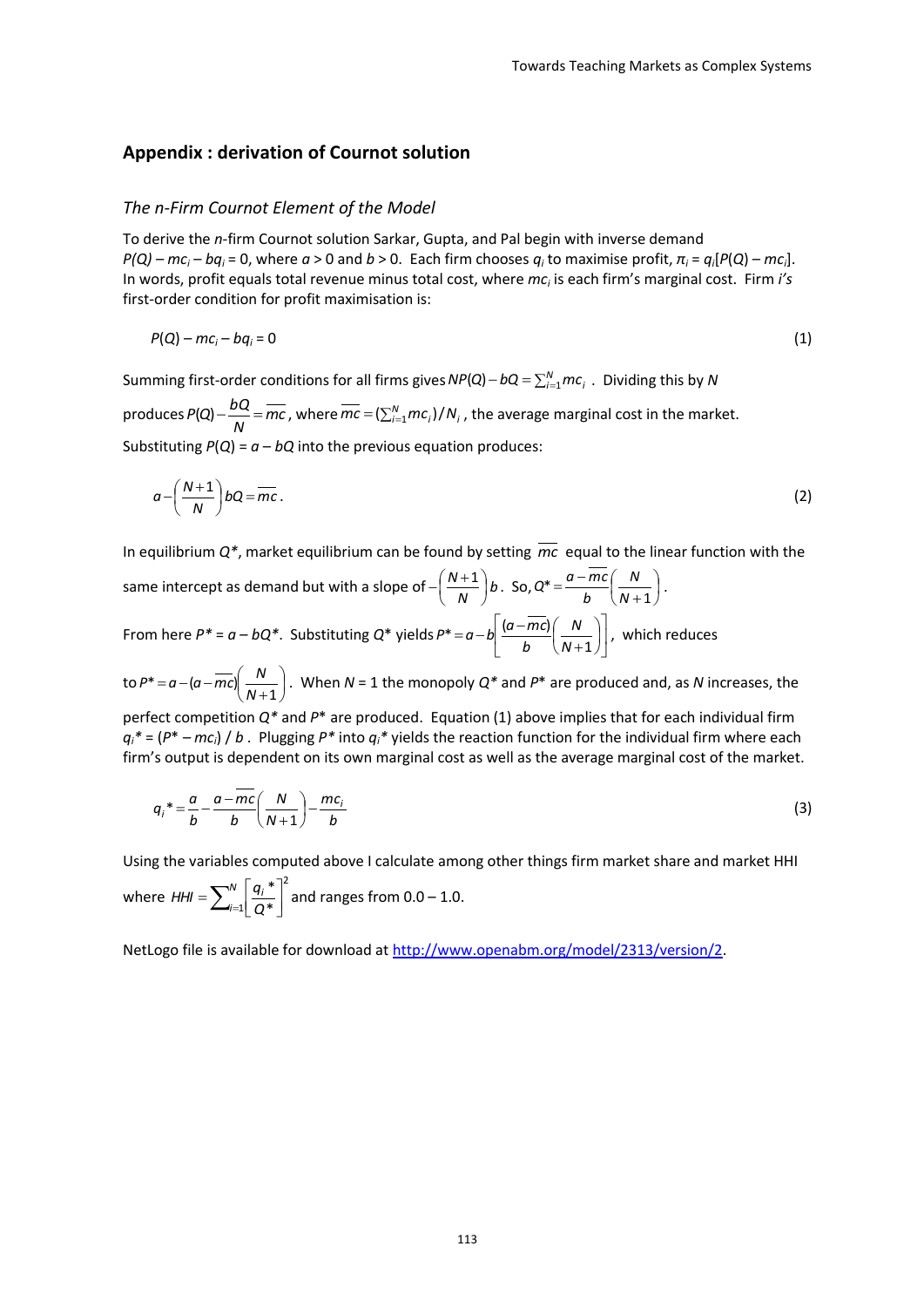$^{+}$ 

#### **Appendix : derivation of Cournot solution**

#### *The n-Firm Cournot Element of the Model*

To derive the *n*-firm Cournot solution Sarkar, Gupta, and Pal begin with inverse demand  $P(Q)$  –  $mc_i - bq_i = 0$ , where  $a > 0$  and  $b > 0$ . Each firm chooses  $q_i$  to maximise profit,  $\pi_i = q_i[P(Q) - mc_i]$ . In words, profit equals total revenue minus total cost, where *mc<sup>i</sup>* is each firm's marginal cost. Firm *i's* first-order condition for profit maximisation is:

$$
P(Q) - mc_i - bq_i = 0 \tag{1}
$$

Summing first-order conditions for all firms gives  $NP(Q) - bQ = \sum_{i=1}^{N}mc_i$  . Dividing this by N

produces  $P(Q) - \frac{bQ}{N} = mc$ *N*  $P(Q) - \frac{bQ}{N} = \overline{mc}$ , where  $\overline{mc} = (\sum_{i=1}^{N} mc_i)/N_i$ , the average marginal cost in the market. Substituting  $P(Q) = a - bQ$  into the previous equation produces:

$$
a - \left(\frac{N+1}{N}\right)bQ = \overline{mc} \,.
$$

In equilibrium *Q\**, market equilibrium can be found by setting *mc* equal to the linear function with the same intercept as demand but with a slope of  $-\left(\frac{N+1}{N}\right)b$  $\frac{N+1}{N}$  $\left(\frac{N+1}{N}\right)$  $-\left(\frac{N+1}{N}\right)b$ . So,  $Q^* = \frac{a-mc}{N} \left(\frac{N}{N+1}\right)$  $\left(\frac{N}{N}\right)$ ſ  $=\frac{a-1}{a-1}$  $i^* = \frac{a + mc}{b} \left( \frac{N}{N+1} \right)$ *N*  $Q^* = \frac{a - mc}{b} \left( \frac{N}{N+1} \right)$ .

) l From here  $P^* = a - bQ^*$ . Substituting  $Q^*$  yields  $P^* = a - b \left| \frac{Q^* - B}{b} \right| \left| \frac{Q^* - B}{A} \right|$  $\frac{1}{2}$  $\overline{\phantom{a}}$  $\mathbf{I}$ L  $\mathbf{r}$  $\int$  $\left(\frac{N}{N+1}\right)$ ſ  $^{+}$  $=a-b\frac{(a-1)}{2}$ 1  $a^* = a - b \left( \frac{(a - mc)}{b} \left( \frac{b}{N} \right) \right)$ *N*  $P^* = a - b \left| \frac{(a - mc)}{b} \left( \frac{N}{N+1} \right) \right|$ , which reduces

to  $P^* = a - (a - mc) \left( \frac{N}{N+1} \right)$  $\left(\frac{N}{N+1}\right)$ ſ  $= a - (a - mc) \left( \frac{N}{N+1} \right)$  $a^* = a - (a - mc) \left( \frac{N}{N+1} \right)$  $P^* = a - (a - \overline{mc}) \left( \frac{N}{N} \right)$ . When  $N = 1$  the monopoly  $Q^*$  and  $P^*$  are produced and, as *N* increases, the

perfect competition *Q\** and *P*\* are produced. Equation (1) above implies that for each individual firm  $q_i^* = (P^* - mc_i) / b$ . Plugging  $P^*$  into  $q_i^*$  yields the reaction function for the individual firm where each firm's output is dependent on its own marginal cost as well as the average marginal cost of the market.

$$
q_i^* = \frac{a}{b} - \frac{a - \overline{mc}}{b} \left( \frac{N}{N+1} \right) - \frac{mc_i}{b}
$$
 (3)

Using the variables computed above I calculate among other things firm market share and market HHI where 2  $\sum_{i=1}^N \left\lfloor \frac{{q_i}^*}{Q^*} \right\rfloor$  $\overline{\phantom{a}}$ L  $=\sum_{n=1}^{N}$ *i i Q HHI* =  $\sum_{n=1}^{N} \left| \frac{q_i^*}{q_i^*} \right|^2$  and ranges from 0.0 – 1.0.

NetLogo file is available for download at [http://www.openabm.org/model/2313/version/2.](http://www.openabm.org/model/2313/version/2)